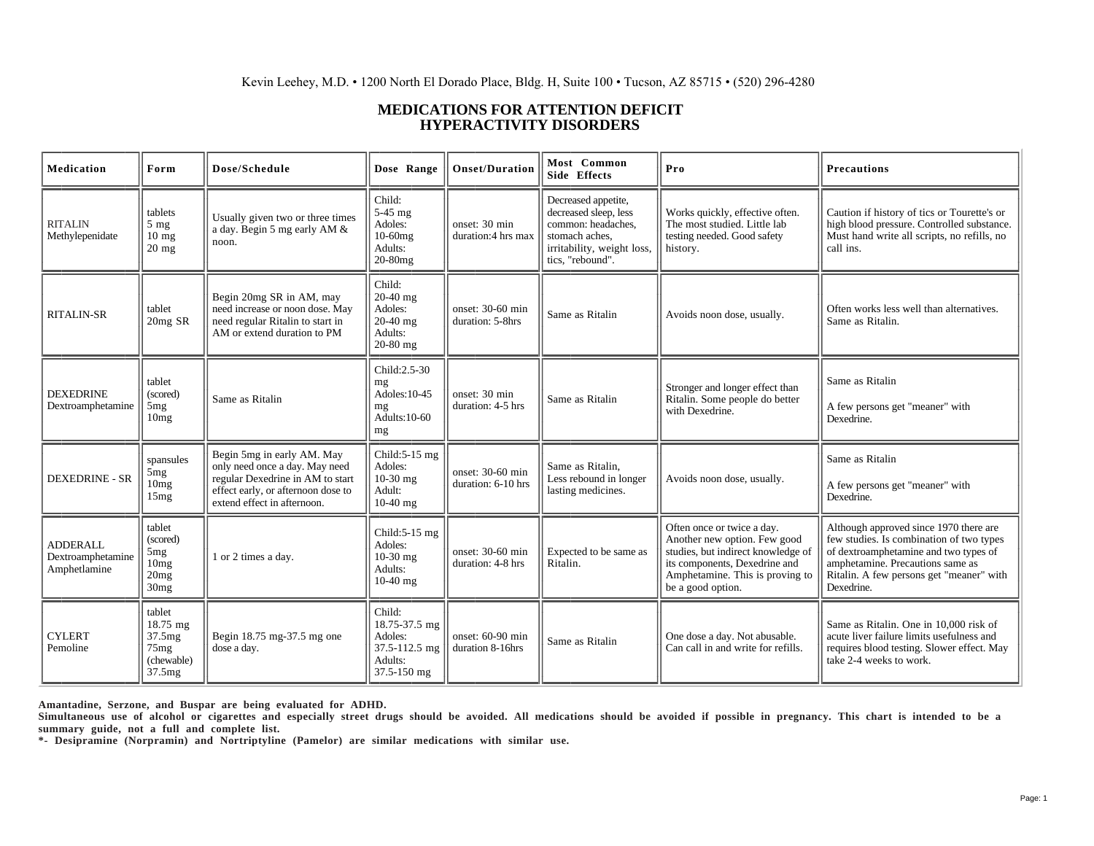## **MEDICATIONS FOR ATTENTION DEFICIT HYPERACTIVITY DISORDERS**

| Medication                                           | Form                                                                   | Dose/Schedule                                                                                                                                                         | Dose Range                                                                    | <b>Onset/Duration</b>                  | Most Common<br>Side Effects                                                                                                            | Pro                                                                                                                                                                                       | <b>Precautions</b>                                                                                                                                                                                                        |
|------------------------------------------------------|------------------------------------------------------------------------|-----------------------------------------------------------------------------------------------------------------------------------------------------------------------|-------------------------------------------------------------------------------|----------------------------------------|----------------------------------------------------------------------------------------------------------------------------------------|-------------------------------------------------------------------------------------------------------------------------------------------------------------------------------------------|---------------------------------------------------------------------------------------------------------------------------------------------------------------------------------------------------------------------------|
| <b>RITALIN</b><br>Methylepenidate                    | tablets<br>$5 \text{ mg}$<br>$10 \text{ mg}$<br>$20$ mg                | Usually given two or three times<br>a day. Begin 5 mg early AM &<br>noon.                                                                                             | Child:<br>$5-45$ mg<br>Adoles:<br>10-60mg<br>Adults:<br>$20-80$ mg            | onset: 30 min<br>duration:4 hrs max    | Decreased appetite,<br>decreased sleep, less<br>common: headaches,<br>stomach aches,<br>irritability, weight loss,<br>tics, "rebound". | Works quickly, effective often.<br>The most studied. Little lab<br>testing needed. Good safety<br>history.                                                                                | Caution if history of tics or Tourette's or<br>high blood pressure. Controlled substance.<br>Must hand write all scripts, no refills, no<br>call ins.                                                                     |
| <b>RITALIN-SR</b>                                    | tablet<br>$20 \text{mg SR}$                                            | Begin 20mg SR in AM, may<br>need increase or noon dose. May<br>need regular Ritalin to start in<br>AM or extend duration to PM                                        | Child:<br>$20-40$ mg<br>Adoles:<br>20-40 mg<br>Adults:<br>20-80 mg            | onset: 30-60 min<br>duration: 5-8hrs   | Same as Ritalin                                                                                                                        | Avoids noon dose, usually.                                                                                                                                                                | Often works less well than alternatives.<br>Same as Ritalin.                                                                                                                                                              |
| <b>DEXEDRINE</b><br>Dextroamphetamine                | tablet<br>(scored)<br>5 <sub>mg</sub><br>10mg                          | Same as Ritalin                                                                                                                                                       | Child: 2.5-30<br>mg<br>Adoles: 10-45<br>mg<br>Adults:10-60<br>mg              | onset: 30 min<br>duration: 4-5 hrs     | Same as Ritalin                                                                                                                        | Stronger and longer effect than<br>Ritalin. Some people do better<br>with Dexedrine.                                                                                                      | Same as Ritalin<br>A few persons get "meaner" with<br>Dexedrine.                                                                                                                                                          |
| <b>DEXEDRINE - SR</b>                                | spansules<br>5mg<br>10mg<br>15mg                                       | Begin 5mg in early AM. May<br>only need once a day. May need<br>regular Dexedrine in AM to start<br>effect early, or afternoon dose to<br>extend effect in afternoon. | Child:5-15 mg<br>Adoles:<br>10-30 mg<br>Adult:<br>$10-40$ mg                  | onset: 30-60 min<br>duration: 6-10 hrs | Same as Ritalin,<br>Less rebound in longer<br>lasting medicines.                                                                       | Avoids noon dose, usually.                                                                                                                                                                | Same as Ritalin<br>A few persons get "meaner" with<br>Dexedrine.                                                                                                                                                          |
| <b>ADDERALL</b><br>Dextroamphetamine<br>Amphetlamine | tablet<br>(scored)<br>5mg<br>10mg<br>20mg<br>30mg                      | 1 or 2 times a day.                                                                                                                                                   | Child: $5-15$ mg<br>Adoles:<br>$10-30$ mg<br>Adults:<br>$10-40$ mg            | onset: 30-60 min<br>duration: 4-8 hrs  | Expected to be same as<br>Ritalin.                                                                                                     | Often once or twice a day.<br>Another new option. Few good<br>studies, but indirect knowledge of<br>its components, Dexedrine and<br>Amphetamine. This is proving to<br>be a good option. | Although approved since 1970 there are<br>few studies. Is combination of two types<br>of dextroamphetamine and two types of<br>amphetamine. Precautions same as<br>Ritalin. A few persons get "meaner" with<br>Dexedrine. |
| <b>CYLERT</b><br>Pemoline                            | tablet<br>$18.75 \text{ mg}$<br>37.5mg<br>75mg<br>(chewable)<br>37.5mg | Begin 18.75 mg-37.5 mg one<br>dose a day.                                                                                                                             | Child:<br>18.75-37.5 mg<br>Adoles:<br>37.5-112.5 mg<br>Adults:<br>37.5-150 mg | onset: 60-90 min<br>duration 8-16hrs   | Same as Ritalin                                                                                                                        | One dose a day. Not abusable.<br>Can call in and write for refills.                                                                                                                       | Same as Ritalin. One in 10,000 risk of<br>acute liver failure limits usefulness and<br>requires blood testing. Slower effect. May<br>take 2-4 weeks to work.                                                              |

**Amantadine, Serzone, and Buspar are being evaluated for ADHD.**

**Simultaneous use of alcohol or cigarettes and especially street drugs should be avoided. All medications should be avoided if possible in pregnancy. This chart is intended to be a summary guide, not a full and complete list.**

**\*- Desipramine (Norpramin) and Nortriptyline (Pamelor) are similar medications with similar use.**